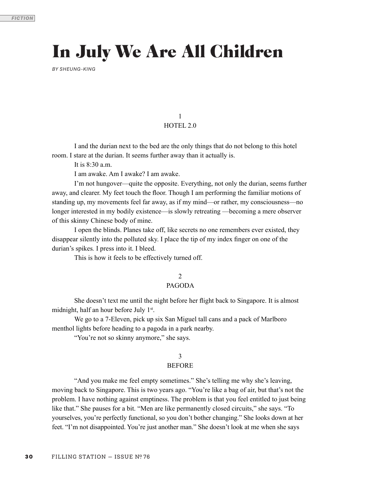# In July We Are All Children

*BY SHEUNG-KING*

1 HOTEL 2.0

 I and the durian next to the bed are the only things that do not belong to this hotel room. I stare at the durian. It seems further away than it actually is.

It is 8:30 a.m.

I am awake. Am I awake? I am awake.

I'm not hungover—quite the opposite. Everything, not only the durian, seems further away, and clearer. My feet touch the foor. Though I am performing the familiar motions of standing up, my movements feel far away, as if my mind—or rather, my consciousness—no longer interested in my bodily existence—is slowly retreating —becoming a mere observer of this skinny Chinese body of mine.

I open the blinds. Planes take off, like secrets no one remembers ever existed, they disappear silently into the polluted sky. I place the tip of my index fnger on one of the durian's spikes*.* I press into it. I bleed.

This is how it feels to be effectively turned off.

2

# PAGODA

 She doesn't text me until the night before her fight back to Singapore. It is almost midnight, half an hour before July 1<sup>st</sup>.

 We go to a 7-Eleven, pick up six San Miguel tall cans and a pack of Marlboro menthol lights before heading to a pagoda in a park nearby.

"You're not so skinny anymore," she says.

# 3

# BEFORE

 "And you make me feel empty sometimes." She's telling me why she's leaving, moving back to Singapore. This is two years ago. "You're like a bag of air, but that's not the problem. I have nothing against emptiness. The problem is that you feel entitled to just being like that." She pauses for a bit. "Men are like permanently closed circuits," she says. "To yourselves, you're perfectly functional, so you don't bother changing." She looks down at her feet. "I'm not disappointed. You're just another man." She doesn't look at me when she says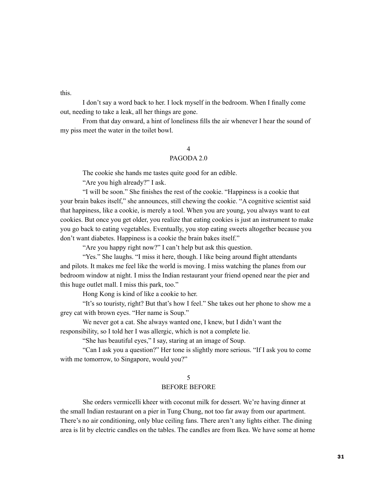this.

 I don't say a word back to her. I lock myself in the bedroom. When I fnally come out, needing to take a leak, all her things are gone.

 From that day onward, a hint of loneliness flls the air whenever I hear the sound of my piss meet the water in the toilet bowl.

# 4

# PAGODA 2.0

The cookie she hands me tastes quite good for an edible.

"Are you high already?" I ask.

 "I will be soon." She fnishes the rest of the cookie. "Happiness is a cookie that your brain bakes itself," she announces, still chewing the cookie. "A cognitive scientist said that happiness, like a cookie, is merely a tool. When you are young, you always want to eat cookies. But once you get older, you realize that eating cookies is just an instrument to make you go back to eating vegetables. Eventually, you stop eating sweets altogether because you don't want diabetes. Happiness is a cookie the brain bakes itself."

"Are you happy right now?" I can't help but ask this question.

"Yes." She laughs. "I miss it here, though. I like being around flight attendants and pilots. It makes me feel like the world is moving. I miss watching the planes from our bedroom window at night. I miss the Indian restaurant your friend opened near the pier and this huge outlet mall. I miss this park, too."

Hong Kong is kind of like a cookie to her.

 "It's so touristy, right? But that's how I feel." She takes out her phone to show me a grey cat with brown eyes. "Her name is Soup."

 We never got a cat. She always wanted one, I knew, but I didn't want the responsibility, so I told her I was allergic, which is not a complete lie.

"She has beautiful eyes," I say, staring at an image of Soup.

 "Can I ask you a question?" Her tone is slightly more serious. "If I ask you to come with me tomorrow, to Singapore, would you?"

## 5

# BEFORE BEFORE

 She orders vermicelli kheer with coconut milk for dessert. We're having dinner at the small Indian restaurant on a pier in Tung Chung, not too far away from our apartment. There's no air conditioning, only blue ceiling fans. There aren't any lights either. The dining area is lit by electric candles on the tables. The candles are from Ikea. We have some at home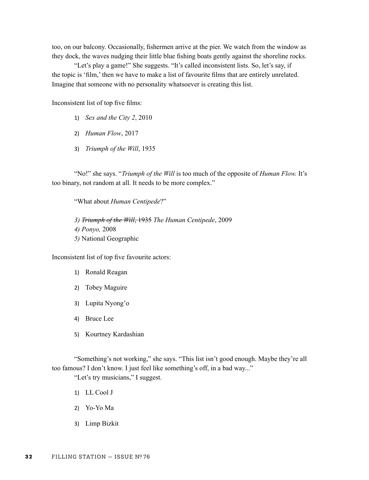too, on our balcony. Occasionally, fshermen arrive at the pier. We watch from the window as they dock, the waves nudging their little blue fshing boats gently against the shoreline rocks.

"Let's play a game!" She suggests. "It's called inconsistent lists. So, let's say, if the topic is 'flm,' then we have to make a list of favourite flms that are entirely unrelated. Imagine that someone with no personality whatsoever is creating this list.

Inconsistent list of top fve flms:

- 1) *Sex and the City 2*, 2010
- 2) *Human Flow*, 2017
- 3) *Triumph of the Will*, 1935

 "No!" she says. "*Triumph of the Will* is too much of the opposite of *Human Flow.* It's too binary, not random at all. It needs to be more complex."

"What about *Human Centipede*?"

*3) Triumph of the Will*, 1935 *The Human Centipede*, 2009 *4) Ponyo,* 2008 *5)* National Geographic

Inconsistent list of top fve favourite actors:

- 1) Ronald Reagan
- 2) Tobey Maguire
- 3) Lupita Nyong'o
- 4) Bruce Lee
- 5) Kourtney Kardashian

"Something's not working," she says. "This list isn't good enough. Maybe they're all too famous? I don't know. I just feel like something's off, in a bad way..."

"Let's try musicians," I suggest.

- 1) LL Cool J
- 2) Yo-Yo Ma
- 3) Limp Bizkit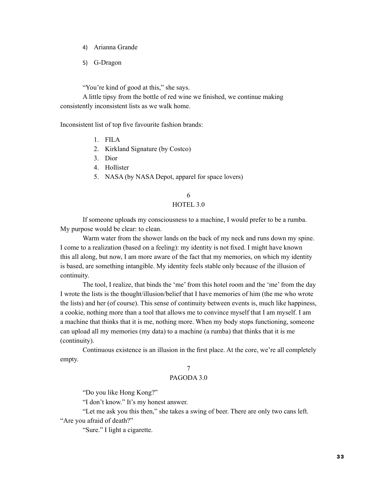- 4) Arianna Grande
- 5) G-Dragon

"You're kind of good at this," she says.

A little tipsy from the bottle of red wine we fnished, we continue making consistently inconsistent lists as we walk home.

Inconsistent list of top fve favourite fashion brands:

- 1. FILA
- 2. Kirkland Signature (by Costco)
- 3. Dior
- 4. Hollister
- 5. NASA (by NASA Depot, apparel for space lovers)

# 6 HOTEL 3.0

 If someone uploads my consciousness to a machine, I would prefer to be a rumba. My purpose would be clear: to clean.

 Warm water from the shower lands on the back of my neck and runs down my spine. I come to a realization (based on a feeling): my identity is not fxed. I might have known this all along, but now, I am more aware of the fact that my memories, on which my identity is based, are something intangible. My identity feels stable only because of the illusion of continuity.

 The tool, I realize, that binds the 'me' from this hotel room and the 'me' from the day I wrote the lists is the thought/illusion/belief that I have memories of him (the me who wrote the lists) and her (of course). This sense of continuity between events is, much like happiness, a cookie, nothing more than a tool that allows me to convince myself that I am myself. I am a machine that thinks that it is me, nothing more. When my body stops functioning, someone can upload all my memories (my data) to a machine (a rumba) that thinks that it is me (continuity).

 Continuous existence is an illusion in the frst place. At the core, we're all completely empty.

# 7

# PAGODA 3.0

"Do you like Hong Kong?"

"I don't know." It's my honest answer.

 "Let me ask you this then," she takes a swing of beer. There are only two cans left. "Are you afraid of death?"

"Sure." I light a cigarette.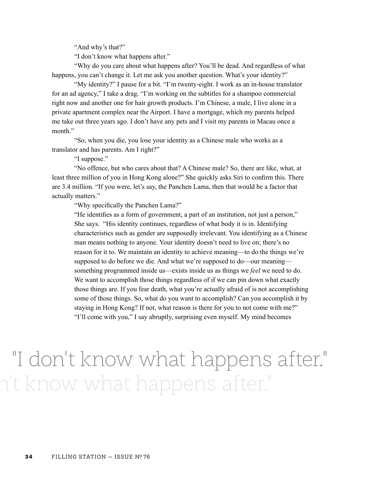"And why's that?"

"I don't know what happens after."

 "Why do you care about what happens after? You'll be dead. And regardless of what happens, you can't change it. Let me ask you another question. What's your identity?"

 "My identity?" I pause for a bit. "I'm twenty-eight. I work as an in-house translator for an ad agency," I take a drag. "I'm working on the subtitles for a shampoo commercial right now and another one for hair growth products. I'm Chinese, a male, I live alone in a private apartment complex near the Airport. I have a mortgage, which my parents helped me take out three years ago. I don't have any pets and I visit my parents in Macau once a month."

 "So, when you die, you lose your identity as a Chinese male who works as a translator and has parents. Am I right?"

"I suppose."

 "No offence, but who cares about that? A Chinese male? So, there are like, what, at least three million of you in Hong Kong alone?" She quickly asks Siri to confrm this. There are 3.4 million. "If you were, let's say, the Panchen Lama, then that would be a factor that actually matters."

"Why specifcally the Panchen Lama?"

"He identifes as a form of government, a part of an institution, not just a person," She says. "His identity continues, regardless of what body it is in. Identifying characteristics such as gender are supposedly irrelevant. You identifying as a Chinese man means nothing to anyone. Your identity doesn't need to live on; there's no reason for it to. We maintain an identity to achieve meaning—to do the things we're supposed to do before we die. And what we're supposed to do—our meaning something programmed inside us—exists inside us as things we *feel* we need to do. We want to accomplish those things regardless of if we can pin down what exactly those things are. If you fear death, what you're actually afraid of is not accomplishing some of those things. So, what do you want to accomplish? Can you accomplish it by staying in Hong Kong? If not, what reason is there for you to not come with me?" "I'll come with you," I say abruptly, surprising even myself. My mind becomes

# "I don't know what happens after." n't know what happens after."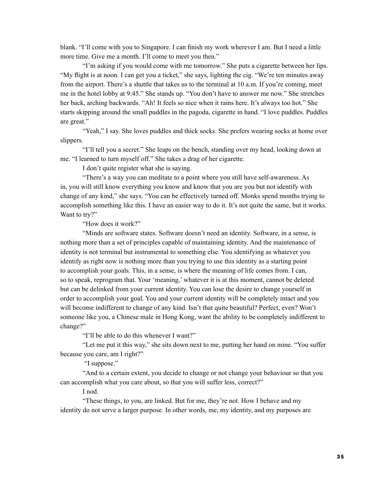blank. "I'll come with you to Singapore. I can fnish my work wherever I am. But I need a little more time. Give me a month. I'll come to meet you then."

 "I'm asking if you would come with me tomorrow." She puts a cigarette between her lips. "My fight is at noon. I can get you a ticket," she says, lighting the cig. "We're ten minutes away from the airport. There's a shuttle that takes us to the terminal at 10 a.m. If you're coming, meet me in the hotel lobby at 9:45." She stands up. "You don't have to answer me now." She stretches her back, arching backwards. "Ah! It feels so nice when it rains here. It's always too hot." She starts skipping around the small puddles in the pagoda, cigarette in hand. "I love puddles. Puddles are great."

"Yeah," I say. She loves puddles and thick socks. She prefers wearing socks at home over slippers.

 "I'll tell you a secret." She leaps on the bench, standing over my head, looking down at me. "I learned to turn myself off." She takes a drag of her cigarette.

I don't quite register what she is saying.

 "There's a way you can meditate to a point where you still have self-awareness. As in, you will still know everything you know and know that you are you but not identify with change of any kind," she says. "You can be effectively turned off. Monks spend months trying to accomplish something like this. I have an easier way to do it. It's not quite the same, but it works. Want to try?"

"How does it work?"

 "Minds are software states. Software doesn't need an identity. Software, in a sense, is nothing more than a set of principles capable of maintaining identity. And the maintenance of identity is not terminal but instrumental to something else. You identifying as whatever you identify as right now is nothing more than you trying to use this identity as a starting point to accomplish your goals. This, in a sense, is where the meaning of life comes from. I can, so to speak, reprogram that. Your 'meaning,' whatever it is at this moment, cannot be deleted but can be delinked from your current identity. You can lose the desire to change yourself in order to accomplish your goal. You and your current identity will be completely intact and you will become indifferent to change of any kind. Isn't that quite beautiful? Perfect, even? Won't someone like you, a Chinese male in Hong Kong, want the ability to be completely indifferent to change?"

"I'll be able to do this whenever I want?"

 "Let me put it this way," she sits down next to me, putting her hand on mine. "You suffer because you care, am I right?"

"I suppose."

"And to a certain extent, you decide to change or not change your behaviour so that you can accomplish what you care about, so that you will suffer less, correct?"

I nod.

"These things, to you, are linked. But for me, they're not. How I behave and my identity do not serve a larger purpose. In other words, me, my identity, and my purposes are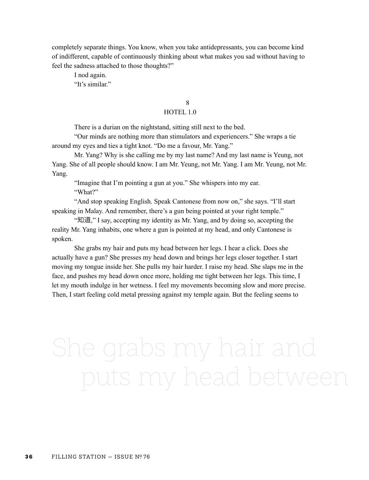completely separate things. You know, when you take antidepressants, you can become kind of indifferent, capable of continuously thinking about what makes you sad without having to feel the sadness attached to those thoughts?"

I nod again.

"It's similar."

# 8 and 20 and 20 and 20 and 20 and 20 and 20 and 20 and 20 and 20 and 20 and 20 and 20 and 20 and 20 and 20 and

# HOTEL 1.0

There is a durian on the nightstand, sitting still next to the bed.

"Our minds are nothing more than stimulators and experiencers." She wraps a tie around my eyes and ties a tight knot. "Do me a favour, Mr. Yang."

Mr. Yang? Why is she calling me by my last name? And my last name is Yeung, not Yang. She of all people should know. I am Mr. Yeung, not Mr. Yang. I am Mr. Yeung, not Mr. Yang.

"Imagine that I'm pointing a gun at you." She whispers into my ear. "What?"

"And stop speaking English. Speak Cantonese from now on," she says. "I'll start speaking in Malay. And remember, there's a gun being pointed at your right temple."

 "知道," I say, accepting my identity as Mr. Yang, and by doing so, accepting the reality Mr. Yang inhabits, one where a gun is pointed at my head, and only Cantonese is spoken.

 She grabs my hair and puts my head between her legs. I hear a click. Does she actually have a gun? She presses my head down and brings her legs closer together. I start moving my tongue inside her. She pulls my hair harder. I raise my head. She slaps me in the face, and pushes my head down once more, holding me tight between her legs. This time, I let my mouth indulge in her wetness. I feel my movements becoming slow and more precise. Then, I start feeling cold metal pressing against my temple again. But the feeling seems to

# She grabs my hair and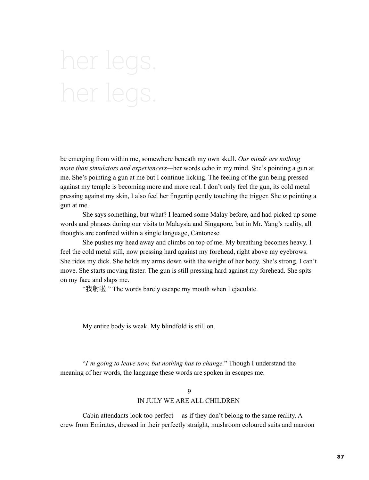# her legs. her legs.

be emerging from within me, somewhere beneath my own skull. *Our minds are nothing more than simulators and experiencers—*her words echo in my mind. She's pointing a gun at me. She's pointing a gun at me but I continue licking. The feeling of the gun being pressed against my temple is becoming more and more real. I don't only feel the gun, its cold metal pressing against my skin, I also feel her fngertip gently touching the trigger. She *is* pointing a gun at me.

 She says something, but what? I learned some Malay before, and had picked up some words and phrases during our visits to Malaysia and Singapore, but in Mr. Yang's reality, all thoughts are confned within a single language, Cantonese.

 She pushes my head away and climbs on top of me. My breathing becomes heavy. I feel the cold metal still, now pressing hard against my forehead, right above my eyebrows. She rides my dick. She holds my arms down with the weight of her body. She's strong. I can't move. She starts moving faster. The gun is still pressing hard against my forehead. She spits on my face and slaps me.

"我射䬨." The words barely escape my mouth when I ejaculate.

My entire body is weak. My blindfold is still on.

 "*I'm going to leave now, but nothing has to change.*" Though I understand the meaning of her words, the language these words are spoken in escapes me.

# $\Omega$ IN JULY WE ARE ALL CHILDREN

 Cabin attendants look too perfect— as if they don't belong to the same reality. A crew from Emirates, dressed in their perfectly straight, mushroom coloured suits and maroon